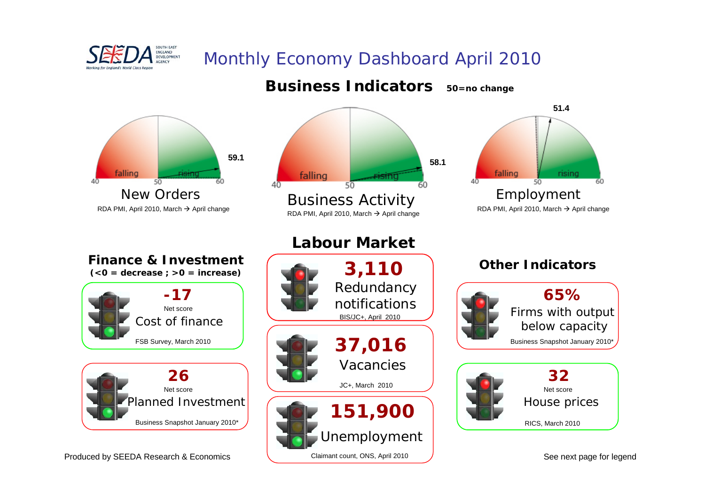

# Monthly Economy Dashboard April 2010



# **Business Indicators 50=no change**



### **Business Activity**  $\rightarrow$  April change



## **Finance & Investment**



Business Snapshot January 2010\*

### Produced by SEEDA Research & Economics

# **Labour Market**







See next page for legend